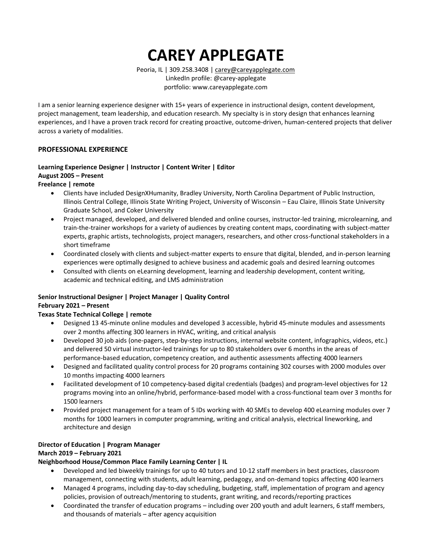**CAREY APPLEGATE**

Peoria, IL | 309.258.3408 | [carey@careyapplegate.com](mailto:carey@careyapplegate.com) LinkedIn profile: @carey-applegate portfolio: www.careyapplegate.com

I am a senior learning experience designer with 15+ years of experience in instructional design, content development, project management, team leadership, and education research. My specialty is in story design that enhances learning experiences, and I have a proven track record for creating proactive, outcome-driven, human-centered projects that deliver across a variety of modalities.

#### **PROFESSIONAL EXPERIENCE**

# **Learning Experience Designer | Instructor | Content Writer | Editor August 2005 – Present**

#### **Freelance | remote**

- Clients have included DesignXHumanity, Bradley University, North Carolina Department of Public Instruction, Illinois Central College, Illinois State Writing Project, University of Wisconsin – Eau Claire, Illinois State University Graduate School, and Coker University
- Project managed, developed, and delivered blended and online courses, instructor-led training, microlearning, and train-the-trainer workshops for a variety of audiences by creating content maps, coordinating with subject-matter experts, graphic artists, technologists, project managers, researchers, and other cross-functional stakeholders in a short timeframe
- Coordinated closely with clients and subject-matter experts to ensure that digital, blended, and in-person learning experiences were optimally designed to achieve business and academic goals and desired learning outcomes
- Consulted with clients on eLearning development, learning and leadership development, content writing, academic and technical editing, and LMS administration

## **Senior Instructional Designer | Project Manager | Quality Control February 2021 – Present**

## **Texas State Technical College | remote**

- Designed 13 45-minute online modules and developed 3 accessible, hybrid 45-minute modules and assessments over 2 months affecting 300 learners in HVAC, writing, and critical analysis
- Developed 30 job aids (one-pagers, step-by-step instructions, internal website content, infographics, videos, etc.) and delivered 50 virtual instructor-led trainings for up to 80 stakeholders over 6 months in the areas of performance-based education, competency creation, and authentic assessments affecting 4000 learners
- Designed and facilitated quality control process for 20 programs containing 302 courses with 2000 modules over 10 months impacting 4000 learners
- Facilitated development of 10 competency-based digital credentials (badges) and program-level objectives for 12 programs moving into an online/hybrid, performance-based model with a cross-functional team over 3 months for 1500 learners
- Provided project management for a team of 5 IDs working with 40 SMEs to develop 400 eLearning modules over 7 months for 1000 learners in computer programming, writing and critical analysis, electrical lineworking, and architecture and design

# **Director of Education | Program Manager**

## **March 2019 – February 2021**

## **Neighborhood House/Common Place Family Learning Center | IL**

- Developed and led biweekly trainings for up to 40 tutors and 10-12 staff members in best practices, classroom management, connecting with students, adult learning, pedagogy, and on-demand topics affecting 400 learners
- Managed 4 programs, including day-to-day scheduling, budgeting, staff, implementation of program and agency policies, provision of outreach/mentoring to students, grant writing, and records/reporting practices
- Coordinated the transfer of education programs including over 200 youth and adult learners, 6 staff members, and thousands of materials – after agency acquisition